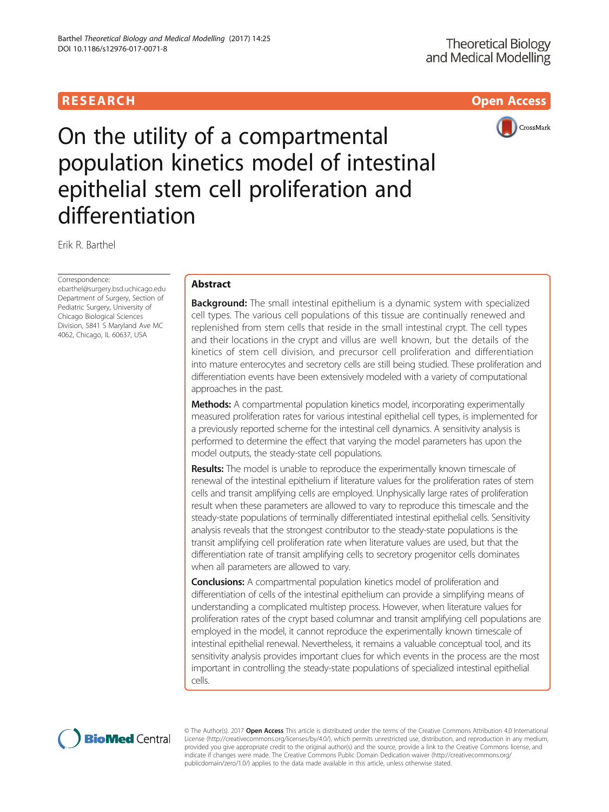# **RESEARCH CHILD CONTROL** CONTROL CONTROL CONTROL CONTROL CONTROL CONTROL CONTROL CONTROL CONTROL CONTROL CONTROL CONTROL CONTROL CONTROL CONTROL CONTROL CONTROL CONTROL CONTROL CONTROL CONTROL CONTROL CONTROL CONTROL CONTR



# On the utility of a compartmental population kinetics model of intestinal epithelial stem cell proliferation and differentiation

Erik R. Barthel

Correspondence:

[ebarthel@surgery.bsd.uchicago.edu](mailto:ebarthel@surgery.bsd.uchicago.edu) Department of Surgery, Section of Pediatric Surgery, University of Chicago Biological Sciences Division, 5841 S Maryland Ave MC 4062, Chicago, IL 60637, USA

# Abstract

**Background:** The small intestinal epithelium is a dynamic system with specialized cell types. The various cell populations of this tissue are continually renewed and replenished from stem cells that reside in the small intestinal crypt. The cell types and their locations in the crypt and villus are well known, but the details of the kinetics of stem cell division, and precursor cell proliferation and differentiation into mature enterocytes and secretory cells are still being studied. These proliferation and differentiation events have been extensively modeled with a variety of computational approaches in the past.

**Methods:** A compartmental population kinetics model, incorporating experimentally measured proliferation rates for various intestinal epithelial cell types, is implemented for a previously reported scheme for the intestinal cell dynamics. A sensitivity analysis is performed to determine the effect that varying the model parameters has upon the model outputs, the steady-state cell populations.

**Results:** The model is unable to reproduce the experimentally known timescale of renewal of the intestinal epithelium if literature values for the proliferation rates of stem cells and transit amplifying cells are employed. Unphysically large rates of proliferation result when these parameters are allowed to vary to reproduce this timescale and the steady-state populations of terminally differentiated intestinal epithelial cells. Sensitivity analysis reveals that the strongest contributor to the steady-state populations is the transit amplifying cell proliferation rate when literature values are used, but that the differentiation rate of transit amplifying cells to secretory progenitor cells dominates when all parameters are allowed to vary.

**Conclusions:** A compartmental population kinetics model of proliferation and differentiation of cells of the intestinal epithelium can provide a simplifying means of understanding a complicated multistep process. However, when literature values for proliferation rates of the crypt based columnar and transit amplifying cell populations are employed in the model, it cannot reproduce the experimentally known timescale of intestinal epithelial renewal. Nevertheless, it remains a valuable conceptual tool, and its sensitivity analysis provides important clues for which events in the process are the most important in controlling the steady-state populations of specialized intestinal epithelial cells.



© The Author(s). 2017 Open Access This article is distributed under the terms of the Creative Commons Attribution 4.0 International License ([http://creativecommons.org/licenses/by/4.0/\)](http://creativecommons.org/licenses/by/4.0/), which permits unrestricted use, distribution, and reproduction in any medium, provided you give appropriate credit to the original author(s) and the source, provide a link to the Creative Commons license, and indicate if changes were made. The Creative Commons Public Domain Dedication waiver ([http://creativecommons.org/](http://creativecommons.org/publicdomain/zero/1.0/) [publicdomain/zero/1.0/\)](http://creativecommons.org/publicdomain/zero/1.0/) applies to the data made available in this article, unless otherwise stated.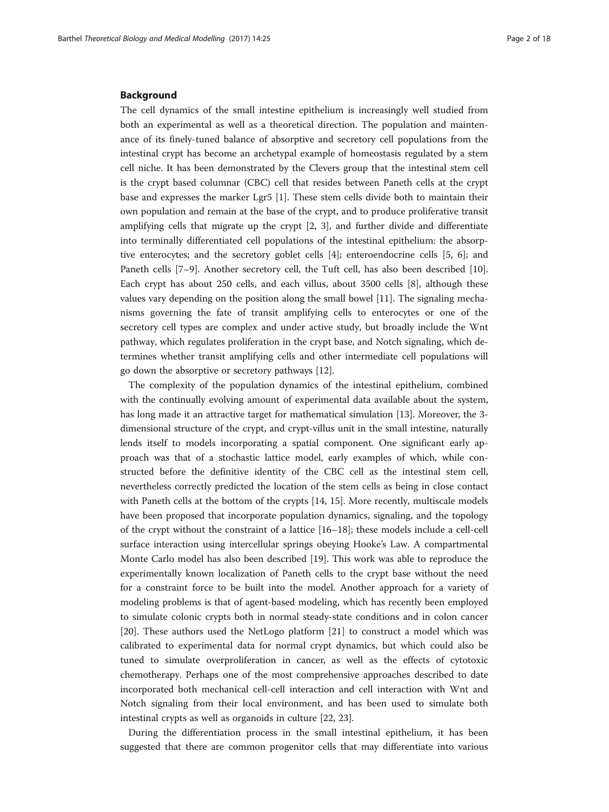# Background

The cell dynamics of the small intestine epithelium is increasingly well studied from both an experimental as well as a theoretical direction. The population and maintenance of its finely-tuned balance of absorptive and secretory cell populations from the intestinal crypt has become an archetypal example of homeostasis regulated by a stem cell niche. It has been demonstrated by the Clevers group that the intestinal stem cell is the crypt based columnar (CBC) cell that resides between Paneth cells at the crypt base and expresses the marker Lgr5 [[1\]](#page-16-0). These stem cells divide both to maintain their own population and remain at the base of the crypt, and to produce proliferative transit amplifying cells that migrate up the crypt [[2, 3\]](#page-16-0), and further divide and differentiate into terminally differentiated cell populations of the intestinal epithelium: the absorptive enterocytes; and the secretory goblet cells [\[4](#page-16-0)]; enteroendocrine cells [\[5, 6\]](#page-17-0); and Paneth cells [[7](#page-17-0)–[9](#page-17-0)]. Another secretory cell, the Tuft cell, has also been described [[10](#page-17-0)]. Each crypt has about 250 cells, and each villus, about 3500 cells [[8\]](#page-17-0), although these values vary depending on the position along the small bowel [\[11](#page-17-0)]. The signaling mechanisms governing the fate of transit amplifying cells to enterocytes or one of the secretory cell types are complex and under active study, but broadly include the Wnt pathway, which regulates proliferation in the crypt base, and Notch signaling, which determines whether transit amplifying cells and other intermediate cell populations will go down the absorptive or secretory pathways [\[12\]](#page-17-0).

The complexity of the population dynamics of the intestinal epithelium, combined with the continually evolving amount of experimental data available about the system, has long made it an attractive target for mathematical simulation [[13\]](#page-17-0). Moreover, the 3 dimensional structure of the crypt, and crypt-villus unit in the small intestine, naturally lends itself to models incorporating a spatial component. One significant early approach was that of a stochastic lattice model, early examples of which, while constructed before the definitive identity of the CBC cell as the intestinal stem cell, nevertheless correctly predicted the location of the stem cells as being in close contact with Paneth cells at the bottom of the crypts [[14, 15\]](#page-17-0). More recently, multiscale models have been proposed that incorporate population dynamics, signaling, and the topology of the crypt without the constraint of a lattice [[16](#page-17-0)–[18](#page-17-0)]; these models include a cell-cell surface interaction using intercellular springs obeying Hooke's Law. A compartmental Monte Carlo model has also been described [[19](#page-17-0)]. This work was able to reproduce the experimentally known localization of Paneth cells to the crypt base without the need for a constraint force to be built into the model. Another approach for a variety of modeling problems is that of agent-based modeling, which has recently been employed to simulate colonic crypts both in normal steady-state conditions and in colon cancer [[20\]](#page-17-0). These authors used the NetLogo platform [\[21](#page-17-0)] to construct a model which was calibrated to experimental data for normal crypt dynamics, but which could also be tuned to simulate overproliferation in cancer, as well as the effects of cytotoxic chemotherapy. Perhaps one of the most comprehensive approaches described to date incorporated both mechanical cell-cell interaction and cell interaction with Wnt and Notch signaling from their local environment, and has been used to simulate both intestinal crypts as well as organoids in culture [\[22](#page-17-0), [23\]](#page-17-0).

During the differentiation process in the small intestinal epithelium, it has been suggested that there are common progenitor cells that may differentiate into various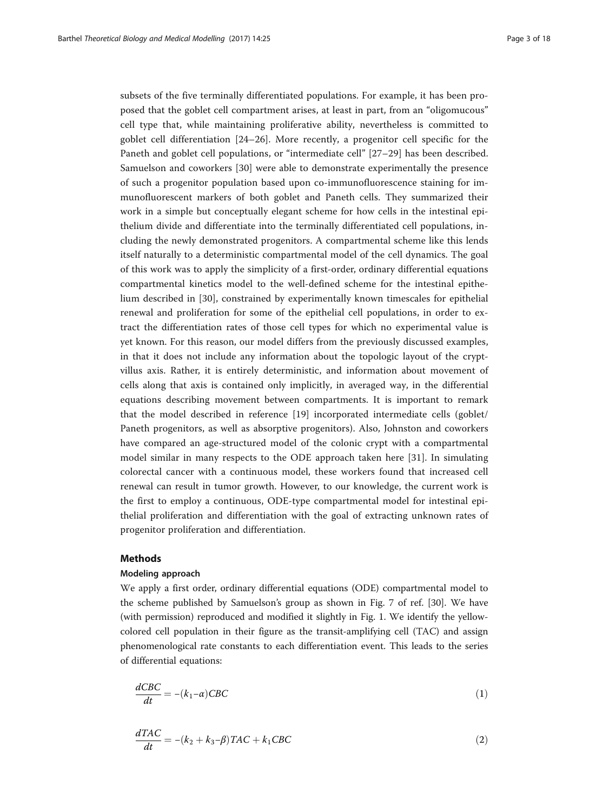<span id="page-2-0"></span>subsets of the five terminally differentiated populations. For example, it has been proposed that the goblet cell compartment arises, at least in part, from an "oligomucous" cell type that, while maintaining proliferative ability, nevertheless is committed to goblet cell differentiation [\[24](#page-17-0)–[26](#page-17-0)]. More recently, a progenitor cell specific for the Paneth and goblet cell populations, or "intermediate cell" [[27](#page-17-0)–[29\]](#page-17-0) has been described. Samuelson and coworkers [[30\]](#page-17-0) were able to demonstrate experimentally the presence of such a progenitor population based upon co-immunofluorescence staining for immunofluorescent markers of both goblet and Paneth cells. They summarized their work in a simple but conceptually elegant scheme for how cells in the intestinal epithelium divide and differentiate into the terminally differentiated cell populations, including the newly demonstrated progenitors. A compartmental scheme like this lends itself naturally to a deterministic compartmental model of the cell dynamics. The goal of this work was to apply the simplicity of a first-order, ordinary differential equations compartmental kinetics model to the well-defined scheme for the intestinal epithelium described in [[30\]](#page-17-0), constrained by experimentally known timescales for epithelial renewal and proliferation for some of the epithelial cell populations, in order to extract the differentiation rates of those cell types for which no experimental value is yet known. For this reason, our model differs from the previously discussed examples, in that it does not include any information about the topologic layout of the cryptvillus axis. Rather, it is entirely deterministic, and information about movement of cells along that axis is contained only implicitly, in averaged way, in the differential equations describing movement between compartments. It is important to remark that the model described in reference [[19\]](#page-17-0) incorporated intermediate cells (goblet/ Paneth progenitors, as well as absorptive progenitors). Also, Johnston and coworkers have compared an age-structured model of the colonic crypt with a compartmental model similar in many respects to the ODE approach taken here [\[31](#page-17-0)]. In simulating colorectal cancer with a continuous model, these workers found that increased cell renewal can result in tumor growth. However, to our knowledge, the current work is the first to employ a continuous, ODE-type compartmental model for intestinal epithelial proliferation and differentiation with the goal of extracting unknown rates of progenitor proliferation and differentiation.

# Methods

# Modeling approach

We apply a first order, ordinary differential equations (ODE) compartmental model to the scheme published by Samuelson's group as shown in Fig. 7 of ref. [[30](#page-17-0)]. We have (with permission) reproduced and modified it slightly in Fig. [1](#page-3-0). We identify the yellowcolored cell population in their figure as the transit-amplifying cell (TAC) and assign phenomenological rate constants to each differentiation event. This leads to the series of differential equations:

$$
\frac{dCBC}{dt} = -(k_1 - \alpha)CBC \tag{1}
$$

$$
\frac{dTAC}{dt} = -(k_2 + k_3 - \beta)TAC + k_1CBC \tag{2}
$$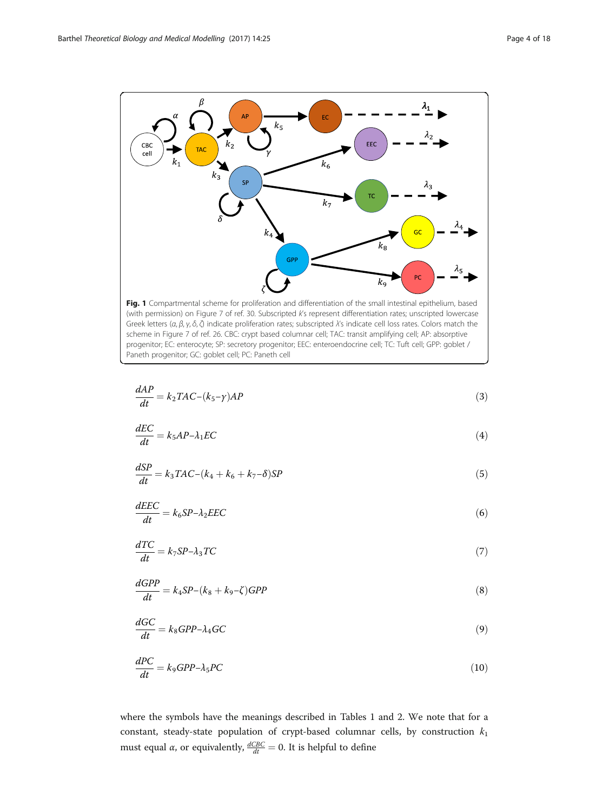<span id="page-3-0"></span>

(with permission) on Figure 7 of ref. 30. Subscripted k's represent differentiation rates; unscripted lowercase Greek letters ( $\alpha$ ,  $\beta$ ,  $\gamma$ ,  $\delta$ ,  $\bar{Q}$ ) indicate proliferation rates; subscripted  $\lambda$ 's indicate cell loss rates. Colors match the scheme in Figure 7 of ref. 26. CBC: crypt based columnar cell; TAC: transit amplifying cell; AP: absorptive progenitor; EC: enterocyte; SP: secretory progenitor; EEC: enteroendocrine cell; TC: Tuft cell; GPP: goblet / Paneth progenitor; GC: goblet cell; PC: Paneth cell

$$
\frac{dAP}{dt} = k_2 TAC - (k_5 - \gamma)AP\tag{3}
$$

$$
\frac{dEC}{dt} = k_5 AP - \lambda_1 EC \tag{4}
$$

$$
\frac{dSP}{dt} = k_3 TAC - (k_4 + k_6 + k_7 - \delta)SP
$$
\n<sup>(5)</sup>

$$
\frac{dEEC}{dt} = k_6 SP - \lambda_2 EEC
$$
\n(6)

$$
\frac{dTC}{dt} = k_7 SP - \lambda_3 TC \tag{7}
$$

$$
\frac{dGPP}{dt} = k_4 SP - (k_8 + k_9 - \zeta) GPP \tag{8}
$$

$$
\frac{dGC}{dt} = k_8 GPP - \lambda_4 GC \tag{9}
$$

$$
\frac{dPC}{dt} = k_9 GPP - \lambda_5 PC \tag{10}
$$

where the symbols have the meanings described in Tables [1](#page-4-0) and [2.](#page-4-0) We note that for a constant, steady-state population of crypt-based columnar cells, by construction  $k_1$ must equal  $\alpha$ , or equivalently,  $\frac{dCBC}{dt} = 0$ . It is helpful to define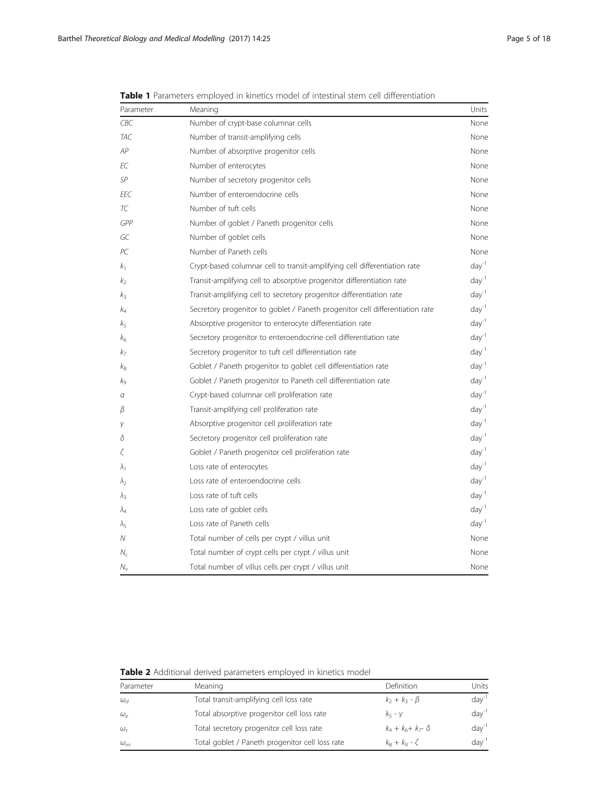| Parameter     | Meaning                                                                      | Units      |
|---------------|------------------------------------------------------------------------------|------------|
| CBC           | Number of crypt-base columnar cells                                          | None       |
| <b>TAC</b>    | Number of transit-amplifying cells                                           | None       |
| AP            | Number of absorptive progenitor cells                                        | None       |
| ЕC            | Number of enterocytes                                                        | None       |
| SP            | Number of secretory progenitor cells                                         | None       |
| EEC           | Number of enteroendocrine cells                                              | None       |
| ТC            | Number of tuft cells                                                         | None       |
| GPP           | Number of goblet / Paneth progenitor cells                                   | None       |
| GC            | Number of goblet cells                                                       | None       |
| РC            | Number of Paneth cells                                                       | None       |
| $k_1$         | Crypt-based columnar cell to transit-amplifying cell differentiation rate    | $day^{-1}$ |
| $k_2$         | Transit-amplifying cell to absorptive progenitor differentiation rate        | $day^{-1}$ |
| kз            | Transit-amplifying cell to secretory progenitor differentiation rate         | $day^{-1}$ |
| $k_4$         | Secretory progenitor to goblet / Paneth progenitor cell differentiation rate | $day^{-1}$ |
| Kς            | Absorptive progenitor to enterocyte differentiation rate                     | $day^{-1}$ |
| $k_{6}$       | Secretory progenitor to enteroendocrine cell differentiation rate            | $day^{-1}$ |
| k,            | Secretory progenitor to tuft cell differentiation rate                       | $day^{-1}$ |
| $k_{8}$       | Goblet / Paneth progenitor to goblet cell differentiation rate               | $day^{-1}$ |
| k9            | Goblet / Paneth progenitor to Paneth cell differentiation rate               | $day^{-1}$ |
| $\alpha$      | Crypt-based columnar cell proliferation rate                                 | $day^{-1}$ |
| β             | Transit-amplifying cell proliferation rate                                   | $day^{-1}$ |
| $\gamma$      | Absorptive progenitor cell proliferation rate                                | $day^{-1}$ |
| δ             | Secretory progenitor cell proliferation rate                                 | $day^{-1}$ |
| ζ             | Goblet / Paneth progenitor cell proliferation rate                           | $day^{-1}$ |
| $\lambda_1$   | Loss rate of enterocytes                                                     | $day^{-1}$ |
| $\lambda_2$   | Loss rate of enteroendocrine cells                                           | $day^{-1}$ |
| $\lambda_3$   | Loss rate of tuft cells                                                      | $day^{-1}$ |
| $\lambda_4$   | Loss rate of goblet cells                                                    | $day^{-1}$ |
| $\lambda_{5}$ | Loss rate of Paneth cells                                                    | $day^{-1}$ |
| Ν             | Total number of cells per crypt / villus unit                                | None       |
| $N_c$         | Total number of crypt cells per crypt / villus unit                          | None       |
| N,            | Total number of villus cells per crypt / villus unit                         | None       |

<span id="page-4-0"></span>Table 1 Parameters employed in kinetics model of intestinal stem cell differentiation

Table 2 Additional derived parameters employed in kinetics model

| Parameter                       | Meaning                                         | Definition                   | Units             |
|---------------------------------|-------------------------------------------------|------------------------------|-------------------|
| $\omega_d$                      | Total transit-amplifying cell loss rate         | $k_2 + k_3 - \beta$          | $day^{-1}$        |
| $\omega_{\scriptscriptstyle P}$ | Total absorptive progenitor cell loss rate      | $k_5 - y$                    | $day^{-1}$        |
| $\omega_{\rm c}$                | Total secretory progenitor cell loss rate       | $k_4 + k_6 + k_7$ - $\delta$ | $day^{-1}$        |
| $\omega_m$                      | Total goblet / Paneth progenitor cell loss rate | $k_8 + k_9 - C$              | $\text{dav}^{-1}$ |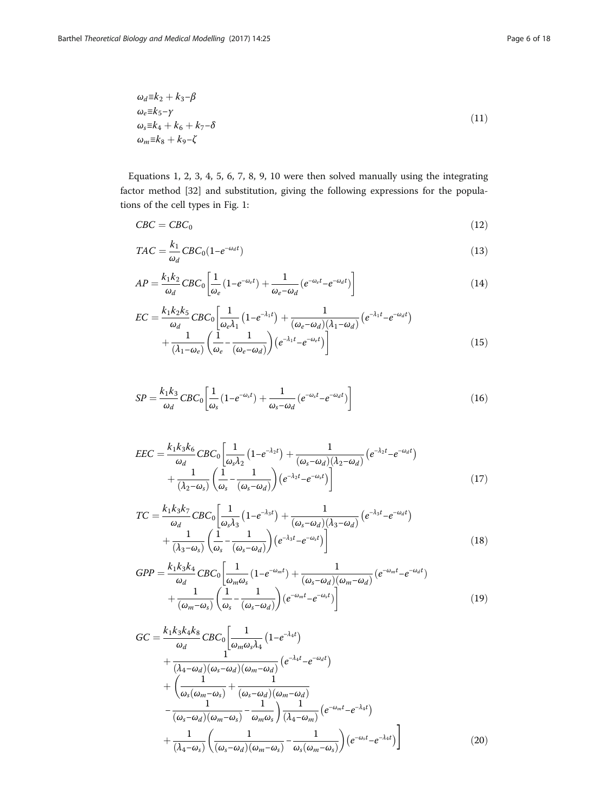<span id="page-5-0"></span>
$$
\omega_d \equiv k_2 + k_3 - \beta
$$
  
\n
$$
\omega_e \equiv k_5 - \gamma
$$
  
\n
$$
\omega_s \equiv k_4 + k_6 + k_7 - \delta
$$
  
\n
$$
\omega_m \equiv k_8 + k_9 - \zeta
$$
\n(11)

Equations [1, 2](#page-2-0), [3, 4](#page-3-0), [5, 6](#page-3-0), [7, 8](#page-3-0), [9, 10](#page-3-0) were then solved manually using the integrating factor method [[32\]](#page-17-0) and substitution, giving the following expressions for the populations of the cell types in Fig. [1:](#page-3-0)

$$
CBC = CBC_0 \tag{12}
$$

$$
TAC = \frac{k_1}{\omega_d} CBC_0 (1 - e^{-\omega_d t})
$$
\n(13)

$$
AP = \frac{k_1 k_2}{\omega_d} CBC_0 \left[ \frac{1}{\omega_e} (1 - e^{-\omega_e t}) + \frac{1}{\omega_e - \omega_d} (e^{-\omega_e t} - e^{-\omega_d t}) \right]
$$
(14)

$$
EC = \frac{k_1 k_2 k_5}{\omega_d} CBC_0 \left[ \frac{1}{\omega_e \lambda_1} \left( 1 - e^{-\lambda_1 t} \right) + \frac{1}{(\omega_e - \omega_d)(\lambda_1 - \omega_d)} \left( e^{-\lambda_1 t} - e^{-\omega_d t} \right) + \frac{1}{(\lambda_1 - \omega_e)} \left( \frac{1}{\omega_e} - \frac{1}{(\omega_e - \omega_d)} \right) \left( e^{-\lambda_1 t} - e^{-\omega_e t} \right) \right]
$$
(15)

$$
SP = \frac{k_1 k_3}{\omega_d} CBC_0 \left[ \frac{1}{\omega_s} (1 - e^{-\omega_s t}) + \frac{1}{\omega_s - \omega_d} (e^{-\omega_s t} - e^{-\omega_d t}) \right]
$$
(16)

$$
EEC = \frac{k_1 k_3 k_6}{\omega_d} CBC_0 \left[ \frac{1}{\omega_s \lambda_2} \left( 1 - e^{-\lambda_2 t} \right) + \frac{1}{(\omega_s - \omega_d)(\lambda_2 - \omega_d)} \left( e^{-\lambda_2 t} - e^{-\omega_d t} \right) + \frac{1}{(\lambda_2 - \omega_s)} \left( \frac{1}{\omega_s} - \frac{1}{(\omega_s - \omega_d)} \right) \left( e^{-\lambda_2 t} - e^{-\omega_s t} \right) \right]
$$
(17)

$$
TC = \frac{k_1 k_3 k_7}{\omega_d} CBC_0 \left[ \frac{1}{\omega_s \lambda_3} \left( 1 - e^{-\lambda_3 t} \right) + \frac{1}{(\omega_s - \omega_d) (\lambda_3 - \omega_d)} \left( e^{-\lambda_3 t} - e^{-\omega_d t} \right) + \frac{1}{(\lambda_3 - \omega_s)} \left( \frac{1}{\omega_s} - \frac{1}{(\omega_s - \omega_d)} \right) \left( e^{-\lambda_3 t} - e^{-\omega_s t} \right) \right]
$$
(18)

$$
GPP = \frac{k_1 k_3 k_4}{\omega_d} CBC_0 \left[ \frac{1}{\omega_m \omega_s} (1 - e^{-\omega_m t}) + \frac{1}{(\omega_s - \omega_d)(\omega_m - \omega_d)} (e^{-\omega_m t} - e^{-\omega_d t}) + \frac{1}{(\omega_m - \omega_s)} \left( \frac{1}{\omega_s} - \frac{1}{(\omega_s - \omega_d)} \right) (e^{-\omega_m t} - e^{-\omega_s t}) \right]
$$
(19)

$$
GC = \frac{k_1 k_3 k_4 k_8}{\omega_d} CBC_0 \left[ \frac{1}{\omega_m \omega_s \lambda_4} \left( 1 - e^{-\lambda_4 t} \right) + \frac{1}{(\lambda_4 - \omega_d)(\omega_s - \omega_d)(\omega_m - \omega_d)} \left( e^{-\lambda_4 t} - e^{-\omega_d t} \right) + \left( \frac{1}{\omega_s (\omega_m - \omega_s)} + \frac{1}{(\omega_s - \omega_d)(\omega_m - \omega_d)} - \frac{1}{(\omega_s - \omega_d)(\omega_m - \omega_s)} - \frac{1}{\omega_m \omega_s} \right) \frac{1}{(\lambda_4 - \omega_m)} \left( e^{-\omega_m t} - e^{-\lambda_4 t} \right) + \frac{1}{(\lambda_4 - \omega_s)} \left( \frac{1}{(\omega_s - \omega_d)(\omega_m - \omega_s)} - \frac{1}{\omega_s (\omega_m - \omega_s)} \right) \left( e^{-\omega_s t} - e^{-\lambda_4 t} \right) \right]
$$
(20)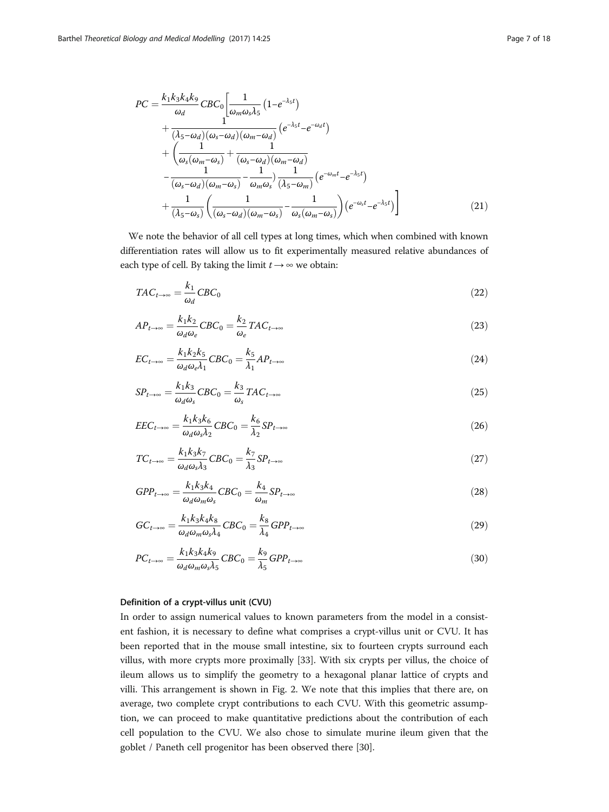<span id="page-6-0"></span>
$$
PC = \frac{k_1 k_3 k_4 k_9}{\omega_d} CBC_0 \left[ \frac{1}{\omega_m \omega_s \lambda_5} \left( 1 - e^{-\lambda_5 t} \right) + \frac{1}{(\lambda_5 - \omega_d)(\omega_s - \omega_d)(\omega_m - \omega_d)} \left( e^{-\lambda_5 t} - e^{-\omega_d t} \right) + \left( \frac{1}{\omega_s (\omega_m - \omega_s)} + \frac{1}{(\omega_s - \omega_d)(\omega_m - \omega_d)} - \frac{1}{(\omega_s - \omega_d)(\omega_m - \omega_s)} - \frac{1}{\omega_m \omega_s} \frac{1}{(\lambda_5 - \omega_m)} \left( e^{-\omega_m t} - e^{-\lambda_5 t} \right) + \frac{1}{(\lambda_5 - \omega_s)} \left( \frac{1}{(\omega_s - \omega_d)(\omega_m - \omega_s)} - \frac{1}{\omega_s (\omega_m - \omega_s)} \right) \left( e^{-\omega_s t} - e^{-\lambda_5 t} \right) \right]
$$
(21)

We note the behavior of all cell types at long times, which when combined with known differentiation rates will allow us to fit experimentally measured relative abundances of each type of cell. By taking the limit  $t \rightarrow \infty$  we obtain:

$$
TAC_{t\to\infty} = \frac{k_1}{\omega_d} CBC_0 \tag{22}
$$

$$
AP_{t\rightarrow\infty} = \frac{k_1 k_2}{\omega_d \omega_e} CBC_0 = \frac{k_2}{\omega_e} TAC_{t\rightarrow\infty}
$$
\n(23)

$$
EC_{t\to\infty} = \frac{k_1 k_2 k_5}{\omega_d \omega_e \lambda_1} CBC_0 = \frac{k_5}{\lambda_1} AP_{t\to\infty}
$$
\n(24)

$$
SP_{t \to \infty} = \frac{k_1 k_3}{\omega_d \omega_s} CBC_0 = \frac{k_3}{\omega_s} TAC_{t \to \infty}
$$
\n(25)

$$
EEC_{t\rightarrow\infty} = \frac{k_1k_3k_6}{\omega_d\omega_s\lambda_2} CBC_0 = \frac{k_6}{\lambda_2} SP_{t\rightarrow\infty}
$$
\n(26)

$$
TC_{t\rightarrow\infty} = \frac{k_1k_3k_7}{\omega_d\omega_s\lambda_3} CBC_0 = \frac{k_7}{\lambda_3} SP_{t\rightarrow\infty}
$$
\n(27)

$$
GPP_{t\rightarrow\infty} = \frac{k_1k_3k_4}{\omega_d\omega_m\omega_s} CBC_0 = \frac{k_4}{\omega_m} SP_{t\rightarrow\infty}
$$
\n(28)

$$
GC_{t\to\infty} = \frac{k_1k_3k_4k_8}{\omega_d\omega_m\omega_s\lambda_4} CBC_0 = \frac{k_8}{\lambda_4} GPP_{t\to\infty}
$$
\n(29)

$$
PC_{t\rightarrow\infty} = \frac{k_1k_3k_4k_9}{\omega_d\omega_m\omega_s\lambda_5} CBC_0 = \frac{k_9}{\lambda_5} GDP_{t\rightarrow\infty}
$$
\n(30)

#### Definition of a crypt-villus unit (CVU)

In order to assign numerical values to known parameters from the model in a consistent fashion, it is necessary to define what comprises a crypt-villus unit or CVU. It has been reported that in the mouse small intestine, six to fourteen crypts surround each villus, with more crypts more proximally [[33\]](#page-17-0). With six crypts per villus, the choice of ileum allows us to simplify the geometry to a hexagonal planar lattice of crypts and villi. This arrangement is shown in Fig. [2](#page-7-0). We note that this implies that there are, on average, two complete crypt contributions to each CVU. With this geometric assumption, we can proceed to make quantitative predictions about the contribution of each cell population to the CVU. We also chose to simulate murine ileum given that the goblet / Paneth cell progenitor has been observed there [\[30](#page-17-0)].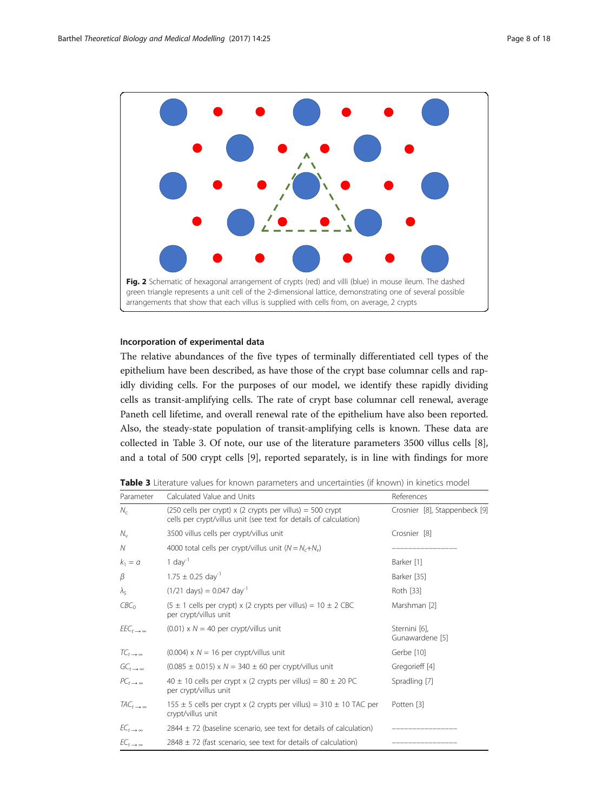<span id="page-7-0"></span>

# Incorporation of experimental data

The relative abundances of the five types of terminally differentiated cell types of the epithelium have been described, as have those of the crypt base columnar cells and rapidly dividing cells. For the purposes of our model, we identify these rapidly dividing cells as transit-amplifying cells. The rate of crypt base columnar cell renewal, average Paneth cell lifetime, and overall renewal rate of the epithelium have also been reported. Also, the steady-state population of transit-amplifying cells is known. These data are collected in Table 3. Of note, our use of the literature parameters 3500 villus cells [\[8](#page-17-0)], and a total of 500 crypt cells [\[9\]](#page-17-0), reported separately, is in line with findings for more

| <b>Table 3</b> Literature values for known parameters and uncertainties (if known) in kinetics model |  |  |  |  |
|------------------------------------------------------------------------------------------------------|--|--|--|--|
|------------------------------------------------------------------------------------------------------|--|--|--|--|

| Parameter                  | Calculated Value and Units                                                                                                                                        | References                       |
|----------------------------|-------------------------------------------------------------------------------------------------------------------------------------------------------------------|----------------------------------|
| $N_c$                      | $(250 \text{ cells per crypt}) \times (2 \text{ crystals per villages}) = 500 \text{ crypt}$<br>cells per crypt/villus unit (see text for details of calculation) | Crosnier [8], Stappenbeck [9]    |
| N <sub>v</sub>             | 3500 villus cells per crypt/villus unit                                                                                                                           | Crosnier [8]                     |
| N                          | 4000 total cells per crypt/villus unit $(N = N_c + N_v)$                                                                                                          |                                  |
| $k_1 = a$                  | $1$ day <sup>-1</sup>                                                                                                                                             | Barker [1]                       |
| β                          | $1.75 \pm 0.25$ day <sup>-1</sup>                                                                                                                                 | Barker [35]                      |
| $\lambda_{5}$              | $(1/21 \text{ days}) = 0.047 \text{ day}^{-1}$                                                                                                                    | Roth [33]                        |
| CBC <sub>0</sub>           | $(5 \pm 1 \text{ cells per crypt}) \times (2 \text{ crystals per villus}) = 10 \pm 2 \text{ CBC}$<br>per crypt/villus unit                                        | Marshman [2]                     |
| $EFC_t \rightarrow \infty$ | $(0.01) \times N = 40$ per crypt/villus unit                                                                                                                      | Sternini [6].<br>Gunawardene [5] |
| $TC_{t\rightarrow\infty}$  | $(0.004) \times N = 16$ per crypt/villus unit                                                                                                                     | Gerbe [10]                       |
| $GC_{t\rightarrow\infty}$  | $(0.085 \pm 0.015) \times N = 340 \pm 60$ per crypt/villus unit                                                                                                   | Gregorieff [4]                   |
| $PC_{t\rightarrow\infty}$  | 40 $\pm$ 10 cells per crypt x (2 crypts per villus) = 80 $\pm$ 20 PC<br>per crypt/villus unit                                                                     | Spradling [7]                    |
| $TAC_{t\rightarrow\infty}$ | $155 \pm 5$ cells per crypt x (2 crypts per villus) = 310 $\pm$ 10 TAC per<br>crypt/villus unit                                                                   | Potten [3]                       |
| $EC_{t\rightarrow\infty}$  | $2844 \pm 72$ (baseline scenario, see text for details of calculation)                                                                                            |                                  |
| $EC_{t\rightarrow\infty}$  | $2848 \pm 72$ (fast scenario, see text for details of calculation)                                                                                                |                                  |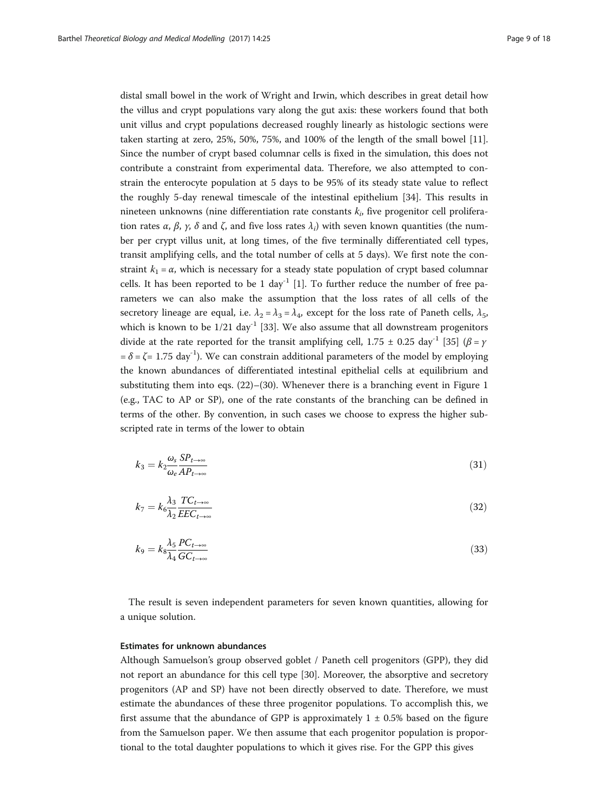<span id="page-8-0"></span>distal small bowel in the work of Wright and Irwin, which describes in great detail how the villus and crypt populations vary along the gut axis: these workers found that both unit villus and crypt populations decreased roughly linearly as histologic sections were taken starting at zero, 25%, 50%, 75%, and 100% of the length of the small bowel [[11](#page-17-0)]. Since the number of crypt based columnar cells is fixed in the simulation, this does not contribute a constraint from experimental data. Therefore, we also attempted to constrain the enterocyte population at 5 days to be 95% of its steady state value to reflect the roughly 5-day renewal timescale of the intestinal epithelium [[34\]](#page-17-0). This results in nineteen unknowns (nine differentiation rate constants  $k_i$ , five progenitor cell proliferation rates  $\alpha$ ,  $\beta$ ,  $\gamma$ ,  $\delta$  and  $\zeta$ , and five loss rates  $\lambda_i$ ) with seven known quantities (the number per crypt villus unit, at long times, of the five terminally differentiated cell types, transit amplifying cells, and the total number of cells at 5 days). We first note the constraint  $k_1 = \alpha$ , which is necessary for a steady state population of crypt based columnar cells. It has been reported to be 1 day<sup>-1</sup> [[1\]](#page-16-0). To further reduce the number of free parameters we can also make the assumption that the loss rates of all cells of the secretory lineage are equal, i.e.  $\lambda_2 = \lambda_3 = \lambda_4$ , except for the loss rate of Paneth cells,  $\lambda_5$ , which is known to be  $1/21 \text{ day}^{-1}$  [[33\]](#page-17-0). We also assume that all downstream progenitors divide at the rate reported for the transit amplifying cell,  $1.75 \pm 0.25$  day<sup>-1</sup> [\[35](#page-17-0)] ( $\beta = \gamma$  $= \delta = \zeta = 1.75 \text{ day}^{-1}$ ). We can constrain additional parameters of the model by employing the known abundances of differentiated intestinal epithelial cells at equilibrium and substituting them into eqs.  $(22)$ – $(30)$ . Whenever there is a branching event in Figure [1](#page-3-0) (e.g., TAC to AP or SP), one of the rate constants of the branching can be defined in terms of the other. By convention, in such cases we choose to express the higher subscripted rate in terms of the lower to obtain

$$
k_3 = k_2 \frac{\omega_s}{\omega_e} \frac{SP_{t \to \infty}}{AP_{t \to \infty}}
$$
\n(31)

$$
k_7 = k_6 \frac{\lambda_3}{\lambda_2} \frac{TC_{t \to \infty}}{EEC_{t \to \infty}}
$$
\n(32)

$$
k_9 = k_8 \frac{\lambda_5}{\lambda_4} \frac{P C_{t \to \infty}}{G C_{t \to \infty}}
$$
\n(33)

The result is seven independent parameters for seven known quantities, allowing for a unique solution.

#### Estimates for unknown abundances

Although Samuelson's group observed goblet / Paneth cell progenitors (GPP), they did not report an abundance for this cell type [[30](#page-17-0)]. Moreover, the absorptive and secretory progenitors (AP and SP) have not been directly observed to date. Therefore, we must estimate the abundances of these three progenitor populations. To accomplish this, we first assume that the abundance of GPP is approximately  $1 \pm 0.5\%$  based on the figure from the Samuelson paper. We then assume that each progenitor population is proportional to the total daughter populations to which it gives rise. For the GPP this gives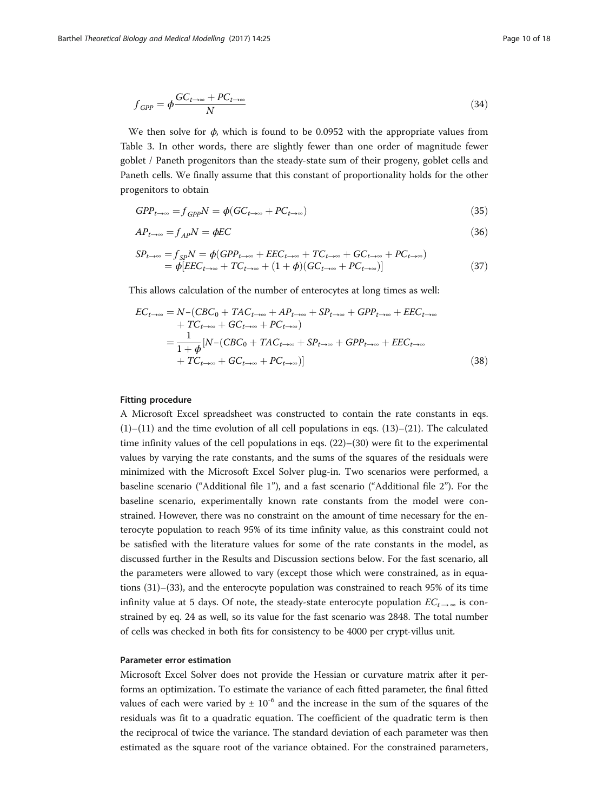<span id="page-9-0"></span>
$$
f_{GPP} = \phi \frac{G C_{t \to \infty} + P C_{t \to \infty}}{N}
$$
\n(34)

We then solve for  $\phi$ , which is found to be 0.0952 with the appropriate values from Table [3.](#page-7-0) In other words, there are slightly fewer than one order of magnitude fewer goblet / Paneth progenitors than the steady-state sum of their progeny, goblet cells and Paneth cells. We finally assume that this constant of proportionality holds for the other progenitors to obtain

$$
GPP_{t\rightarrow\infty} = f_{GPP}N = \phi(GC_{t\rightarrow\infty} + PC_{t\rightarrow\infty})
$$
\n(35)

$$
AP_{t\to\infty} = f_{AP}N = \phi EC
$$
\n(36)

$$
SP_{t\to\infty} = f_{SP}N = \phi(GPP_{t\to\infty} + EEC_{t\to\infty} + TC_{t\to\infty} + GC_{t\to\infty} + PC_{t\to\infty})
$$
  
=  $\phi[EEC_{t\to\infty} + TC_{t\to\infty} + (1+\phi)(GC_{t\to\infty} + PC_{t\to\infty})]$  (37)

This allows calculation of the number of enterocytes at long times as well:

$$
EC_{t\rightarrow\infty} = N - (CBC_0 + TAC_{t\rightarrow\infty} + AP_{t\rightarrow\infty} + SP_{t\rightarrow\infty} + GPP_{t\rightarrow\infty} + EEC_{t\rightarrow\infty} + TC_{t\rightarrow\infty} + GC_{t\rightarrow\infty} + PC_{t\rightarrow\infty}) = \frac{1}{1+\phi} [N - (CBC_0 + TAC_{t\rightarrow\infty} + SP_{t\rightarrow\infty} + GPP_{t\rightarrow\infty} + EEC_{t\rightarrow\infty} + TC_{t\rightarrow\infty} + GC_{t\rightarrow\infty} + PC_{t\rightarrow\infty})]
$$
(38)

# Fitting procedure

A Microsoft Excel spreadsheet was constructed to contain the rate constants in eqs.  $(1)$  $(1)$ – $(11)$  $(11)$  and the time evolution of all cell populations in eqs.  $(13)$  $(13)$ – $(21)$  $(21)$ . The calculated time infinity values of the cell populations in eqs.  $(22)$  $(22)$  $(22)$ – $(30)$  $(30)$  were fit to the experimental values by varying the rate constants, and the sums of the squares of the residuals were minimized with the Microsoft Excel Solver plug-in. Two scenarios were performed, a baseline scenario ("Additional file [1](#page-16-0)"), and a fast scenario ("Additional file [2](#page-16-0)"). For the baseline scenario, experimentally known rate constants from the model were constrained. However, there was no constraint on the amount of time necessary for the enterocyte population to reach 95% of its time infinity value, as this constraint could not be satisfied with the literature values for some of the rate constants in the model, as discussed further in the Results and Discussion sections below. For the fast scenario, all the parameters were allowed to vary (except those which were constrained, as in equations ([31\)](#page-8-0)–([33\)](#page-8-0), and the enterocyte population was constrained to reach 95% of its time infinity value at 5 days. Of note, the steady-state enterocyte population  $EC_t \rightarrow \infty$  is constrained by eq. [24](#page-6-0) as well, so its value for the fast scenario was 2848. The total number of cells was checked in both fits for consistency to be 4000 per crypt-villus unit.

# Parameter error estimation

Microsoft Excel Solver does not provide the Hessian or curvature matrix after it performs an optimization. To estimate the variance of each fitted parameter, the final fitted values of each were varied by  $\pm 10^{-6}$  and the increase in the sum of the squares of the residuals was fit to a quadratic equation. The coefficient of the quadratic term is then the reciprocal of twice the variance. The standard deviation of each parameter was then estimated as the square root of the variance obtained. For the constrained parameters,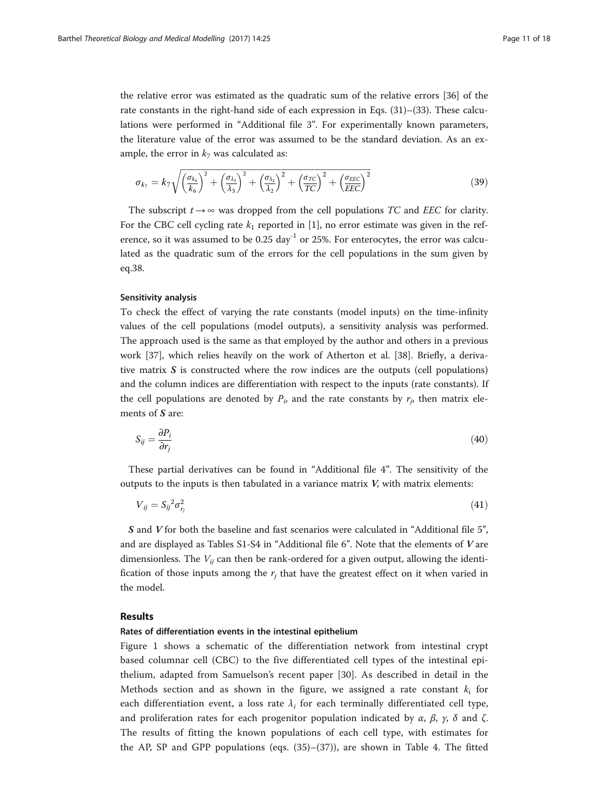the relative error was estimated as the quadratic sum of the relative errors [[36](#page-17-0)] of the rate constants in the right-hand side of each expression in Eqs. ([31\)](#page-8-0)–([33\)](#page-8-0). These calculations were performed in "Additional file [3](#page-16-0)". For experimentally known parameters, the literature value of the error was assumed to be the standard deviation. As an example, the error in  $k<sub>7</sub>$  was calculated as:

$$
\sigma_{k_7} = k_7 \sqrt{\left(\frac{\sigma_{k_6}}{k_6}\right)^2 + \left(\frac{\sigma_{\lambda_3}}{\lambda_3}\right)^2 + \left(\frac{\sigma_{\lambda_2}}{\lambda_2}\right)^2 + \left(\frac{\sigma_{TC}}{TC}\right)^2 + \left(\frac{\sigma_{EEC}}{EEC}\right)^2}
$$
(39)

The subscript  $t \to \infty$  was dropped from the cell populations TC and EEC for clarity. For the CBC cell cycling rate  $k_1$  reported in [[1\]](#page-16-0), no error estimate was given in the reference, so it was assumed to be  $0.25 \text{ day}^{-1}$  or 25%. For enterocytes, the error was calculated as the quadratic sum of the errors for the cell populations in the sum given by eq[.38](#page-9-0).

### Sensitivity analysis

To check the effect of varying the rate constants (model inputs) on the time-infinity values of the cell populations (model outputs), a sensitivity analysis was performed. The approach used is the same as that employed by the author and others in a previous work [\[37](#page-17-0)], which relies heavily on the work of Atherton et al. [[38\]](#page-17-0). Briefly, a derivative matrix  $S$  is constructed where the row indices are the outputs (cell populations) and the column indices are differentiation with respect to the inputs (rate constants). If the cell populations are denoted by  $P_i$ , and the rate constants by  $r_i$ , then matrix elements of S are:

$$
S_{ij} = \frac{\partial P_i}{\partial r_j} \tag{40}
$$

These partial derivatives can be found in "Additional file [4](#page-16-0)". The sensitivity of the outputs to the inputs is then tabulated in a variance matrix  $V$ , with matrix elements:

$$
V_{ij} = S_{ij}^2 \sigma_{r_j}^2 \tag{41}
$$

S and V for both the baseline and fast scenarios were calculated in "Additional file [5](#page-16-0)", and are displayed as Tables S1-S4 in "Additional file [6](#page-16-0)". Note that the elements of V are dimensionless. The  $V_{ij}$  can then be rank-ordered for a given output, allowing the identification of those inputs among the  $r_i$  that have the greatest effect on it when varied in the model.

# Results

# Rates of differentiation events in the intestinal epithelium

Figure [1](#page-3-0) shows a schematic of the differentiation network from intestinal crypt based columnar cell (CBC) to the five differentiated cell types of the intestinal epithelium, adapted from Samuelson's recent paper [[30\]](#page-17-0). As described in detail in the Methods section and as shown in the figure, we assigned a rate constant  $k_i$  for each differentiation event, a loss rate  $\lambda_i$  for each terminally differentiated cell type, and proliferation rates for each progenitor population indicated by  $\alpha$ ,  $\beta$ ,  $\gamma$ ,  $\delta$  and  $\zeta$ . The results of fitting the known populations of each cell type, with estimates for the AP, SP and GPP populations (eqs. [\(35](#page-9-0))–([37\)](#page-9-0)), are shown in Table [4.](#page-11-0) The fitted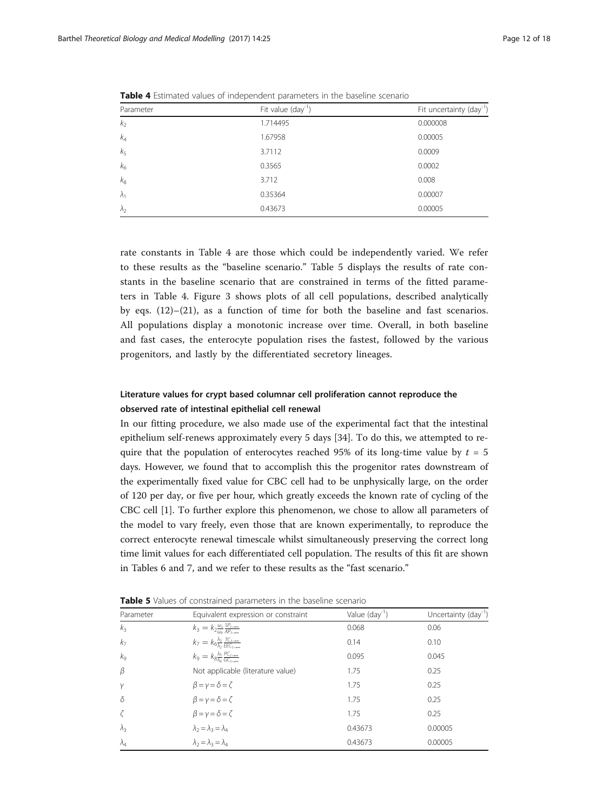| Parameter      | Fit value $\text{(day}^{-1})$ | Fit uncertainty (day <sup>-1</sup> ) |
|----------------|-------------------------------|--------------------------------------|
| k <sub>2</sub> | 1.714495                      | 0.000008                             |
| $k_4$          | 1.67958                       | 0.00005                              |
| $k_{5}$        | 3.7112                        | 0.0009                               |
| k <sub>6</sub> | 0.3565                        | 0.0002                               |
| $k_{8}$        | 3.712                         | 0.008                                |
| $\lambda_1$    | 0.35364                       | 0.00007                              |
| $\lambda_2$    | 0.43673                       | 0.00005                              |

<span id="page-11-0"></span>Table 4 Estimated values of independent parameters in the baseline scenario

rate constants in Table 4 are those which could be independently varied. We refer to these results as the "baseline scenario." Table 5 displays the results of rate constants in the baseline scenario that are constrained in terms of the fitted parameters in Table 4. Figure [3](#page-12-0) shows plots of all cell populations, described analytically by eqs.  $(12)$  $(12)$ – $(21)$  $(21)$  $(21)$ , as a function of time for both the baseline and fast scenarios. All populations display a monotonic increase over time. Overall, in both baseline and fast cases, the enterocyte population rises the fastest, followed by the various progenitors, and lastly by the differentiated secretory lineages.

# Literature values for crypt based columnar cell proliferation cannot reproduce the observed rate of intestinal epithelial cell renewal

In our fitting procedure, we also made use of the experimental fact that the intestinal epithelium self-renews approximately every 5 days [\[34\]](#page-17-0). To do this, we attempted to require that the population of enterocytes reached 95% of its long-time value by  $t = 5$ days. However, we found that to accomplish this the progenitor rates downstream of the experimentally fixed value for CBC cell had to be unphysically large, on the order of 120 per day, or five per hour, which greatly exceeds the known rate of cycling of the CBC cell [[1](#page-16-0)]. To further explore this phenomenon, we chose to allow all parameters of the model to vary freely, even those that are known experimentally, to reproduce the correct enterocyte renewal timescale whilst simultaneously preserving the correct long time limit values for each differentiated cell population. The results of this fit are shown in Tables [6](#page-12-0) and [7](#page-13-0), and we refer to these results as the "fast scenario."

| Parameter      | Equivalent expression or constraint                                                              | Value $\left(\text{day}^{-1}\right)$ | Uncertainty (day <sup>-1</sup> ) |
|----------------|--------------------------------------------------------------------------------------------------|--------------------------------------|----------------------------------|
| $k_3$          | $k_3 = k_2 \frac{\omega_s}{\omega_e} \frac{SP_{t\rightarrow\infty}}{AP_{t\rightarrow\infty}}$    | 0.068                                | 0.06                             |
| k <sub>7</sub> | $k_7 = k_6 \frac{\lambda_3}{\lambda_2} \frac{TC_{t\rightarrow\infty}}{EEC_{t\rightarrow\infty}}$ | 0.14                                 | 0.10                             |
| $k_{\rm Q}$    | $k_9 = k_8 \frac{\lambda_5}{\lambda_4} \frac{PC_{t\rightarrow\infty}}{GC_{t\rightarrow\infty}}$  | 0.095                                | 0.045                            |
| β              | Not applicable (literature value)                                                                | 1.75                                 | 0.25                             |
| $\gamma$       | $\beta = v = \delta = \zeta$                                                                     | 1.75                                 | 0.25                             |
| δ              | $\beta = v = \delta = \zeta$                                                                     | 1.75                                 | 0.25                             |
|                | $\beta = \gamma = \delta = \zeta$                                                                | 1.75                                 | 0.25                             |
| $\lambda_{3}$  | $\lambda_2 = \lambda_3 = \lambda_4$                                                              | 0.43673                              | 0.00005                          |
| $\lambda_4$    | $\lambda_2 = \lambda_3 = \lambda_4$                                                              | 0.43673                              | 0.00005                          |

Table 5 Values of constrained parameters in the baseline scenario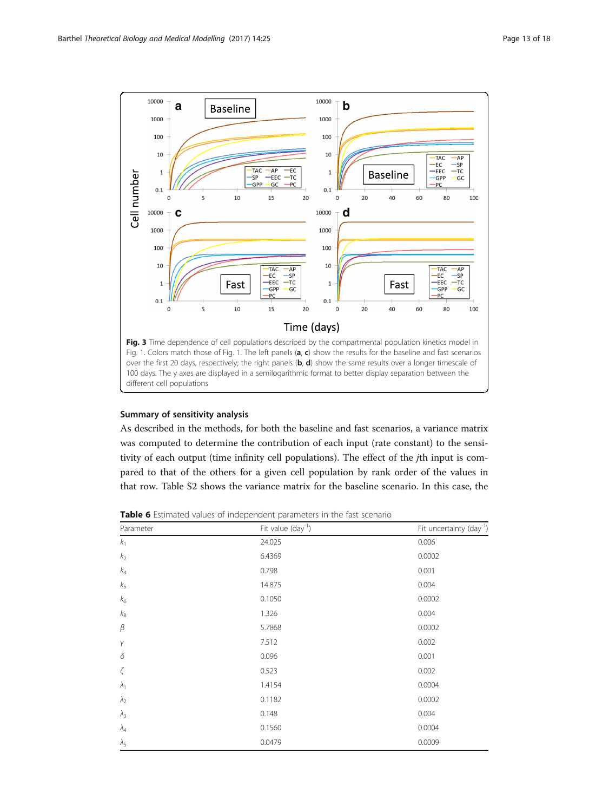<span id="page-12-0"></span>

Fig. [1.](#page-3-0) Colors match those of Fig. [1](#page-3-0). The left panels  $(a, c)$  show the results for the baseline and fast scenarios over the first 20 days, respectively; the right panels (b, d) show the same results over a longer timescale of 100 days. The y axes are displayed in a semilogarithmic format to better display separation between the different cell populations

# Summary of sensitivity analysis

As described in the methods, for both the baseline and fast scenarios, a variance matrix was computed to determine the contribution of each input (rate constant) to the sensitivity of each output (time infinity cell populations). The effect of the jth input is compared to that of the others for a given cell population by rank order of the values in that row. Table S2 shows the variance matrix for the baseline scenario. In this case, the

Table 6 Estimated values of independent parameters in the fast scenario

| Parameter      | Fit value $\text{(day}^{-1})$ | Fit uncertainty $(day^{-1})$ |
|----------------|-------------------------------|------------------------------|
| k <sub>1</sub> | 24.025                        | 0.006                        |
| $k_{2}$        | 6.4369                        | 0.0002                       |
| $k_{4}$        | 0.798                         | 0.001                        |
| k <sub>5</sub> | 14.875                        | 0.004                        |
| $k_{6}$        | 0.1050                        | 0.0002                       |
| $k_{8}$        | 1.326                         | 0.004                        |
| $\beta$        | 5.7868                        | 0.0002                       |
| $\gamma$       | 7.512                         | 0.002                        |
| $\delta$       | 0.096                         | 0.001                        |
| $\zeta$        | 0.523                         | 0.002                        |
| $\lambda_1$    | 1.4154                        | 0.0004                       |
| $\lambda_2$    | 0.1182                        | 0.0002                       |
| $\lambda_3$    | 0.148                         | 0.004                        |
| $\lambda_4$    | 0.1560                        | 0.0004                       |
| $\lambda_5$    | 0.0479                        | 0.0009                       |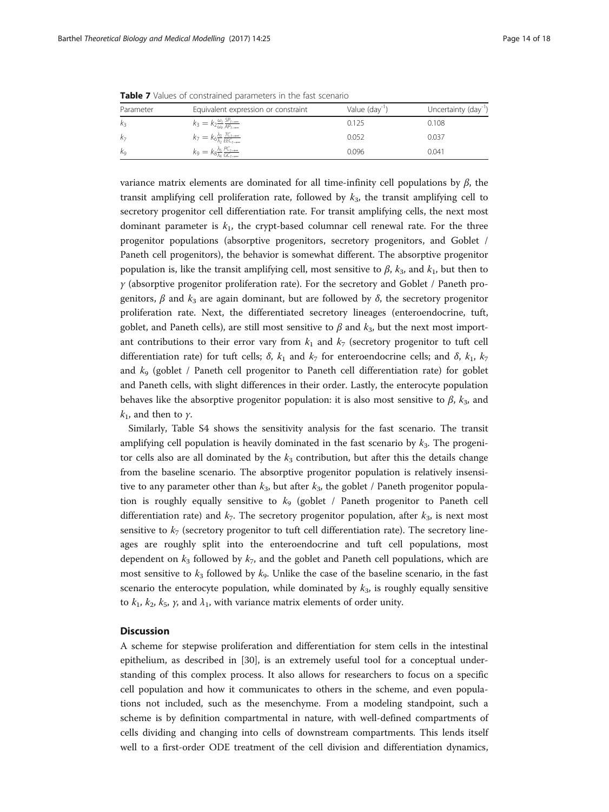<span id="page-13-0"></span>Table 7 Values of constrained parameters in the fast scenario  $k_3$   $k_3 = k_2$  $\omega_{\rm s}$  $\omega_e$  $SP_{t\rightarrow\infty}$  $\frac{SP_{t\to\infty}}{AP_{t\to\infty}}$  0.125 0.108

| Parameter   | Equivalent expression or constraint                                                                     | Value $(day^{-1})$ | Uncertainty (day <sup>-1</sup> ) |
|-------------|---------------------------------------------------------------------------------------------------------|--------------------|----------------------------------|
| $k_3$       | $k_3 = k_2 \frac{\omega_s}{\omega_e} \frac{SP_{t\rightarrow\infty}}{AP_{t\rightarrow\infty}}$           | 0125               | 0.108                            |
| $k_{7}$     | $k_7 = k_6 \frac{\lambda_3}{\lambda_2} \frac{TC_{t\rightarrow\infty}}{EEC_{t\rightarrow\infty}}$        | 0.052              | 0.037                            |
| $k_{\rm Q}$ | $k_9 = k_8 \frac{\lambda_5}{\lambda_4} \frac{\rho C_{I \rightarrow \infty}}{GC_{I \rightarrow \infty}}$ | 0.096              | 0.041                            |

variance matrix elements are dominated for all time-infinity cell populations by β, the transit amplifying cell proliferation rate, followed by  $k<sub>3</sub>$ , the transit amplifying cell to secretory progenitor cell differentiation rate. For transit amplifying cells, the next most dominant parameter is  $k_1$ , the crypt-based columnar cell renewal rate. For the three progenitor populations (absorptive progenitors, secretory progenitors, and Goblet / Paneth cell progenitors), the behavior is somewhat different. The absorptive progenitor population is, like the transit amplifying cell, most sensitive to  $\beta$ ,  $k_3$ , and  $k_1$ , but then to γ (absorptive progenitor proliferation rate). For the secretory and Goblet / Paneth progenitors,  $\beta$  and  $k_3$  are again dominant, but are followed by  $\delta$ , the secretory progenitor proliferation rate. Next, the differentiated secretory lineages (enteroendocrine, tuft, goblet, and Paneth cells), are still most sensitive to  $\beta$  and  $k_3$ , but the next most important contributions to their error vary from  $k_1$  and  $k_7$  (secretory progenitor to tuft cell differentiation rate) for tuft cells;  $\delta$ ,  $k_1$  and  $k_7$  for enteroendocrine cells; and  $\delta$ ,  $k_1$ ,  $k_7$ and  $k_9$  (goblet / Paneth cell progenitor to Paneth cell differentiation rate) for goblet and Paneth cells, with slight differences in their order. Lastly, the enterocyte population behaves like the absorptive progenitor population: it is also most sensitive to  $\beta$ ,  $k_3$ , and  $k_1$ , and then to *γ*.

Similarly, Table S4 shows the sensitivity analysis for the fast scenario. The transit amplifying cell population is heavily dominated in the fast scenario by  $k_3$ . The progenitor cells also are all dominated by the  $k_3$  contribution, but after this the details change from the baseline scenario. The absorptive progenitor population is relatively insensitive to any parameter other than  $k_3$ , but after  $k_3$ , the goblet / Paneth progenitor population is roughly equally sensitive to  $k_9$  (goblet / Paneth progenitor to Paneth cell differentiation rate) and  $k_7$ . The secretory progenitor population, after  $k_3$ , is next most sensitive to  $k<sub>7</sub>$  (secretory progenitor to tuft cell differentiation rate). The secretory lineages are roughly split into the enteroendocrine and tuft cell populations, most dependent on  $k_3$  followed by  $k_7$ , and the goblet and Paneth cell populations, which are most sensitive to  $k_3$  followed by  $k_9$ . Unlike the case of the baseline scenario, in the fast scenario the enterocyte population, while dominated by  $k_3$ , is roughly equally sensitive to  $k_1$ ,  $k_2$ ,  $k_5$ ,  $\gamma$ , and  $\lambda_1$ , with variance matrix elements of order unity.

# **Discussion**

A scheme for stepwise proliferation and differentiation for stem cells in the intestinal epithelium, as described in [\[30\]](#page-17-0), is an extremely useful tool for a conceptual understanding of this complex process. It also allows for researchers to focus on a specific cell population and how it communicates to others in the scheme, and even populations not included, such as the mesenchyme. From a modeling standpoint, such a scheme is by definition compartmental in nature, with well-defined compartments of cells dividing and changing into cells of downstream compartments. This lends itself well to a first-order ODE treatment of the cell division and differentiation dynamics,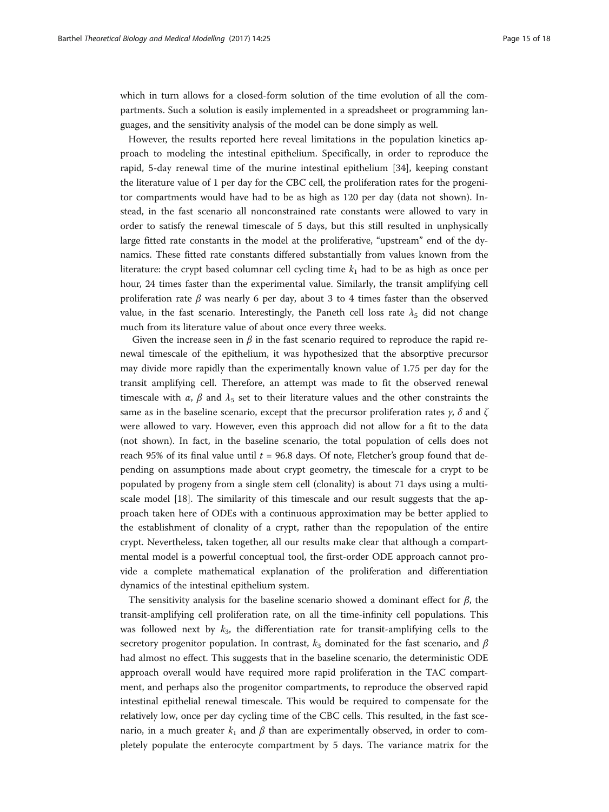which in turn allows for a closed-form solution of the time evolution of all the compartments. Such a solution is easily implemented in a spreadsheet or programming languages, and the sensitivity analysis of the model can be done simply as well.

However, the results reported here reveal limitations in the population kinetics approach to modeling the intestinal epithelium. Specifically, in order to reproduce the rapid, 5-day renewal time of the murine intestinal epithelium [\[34](#page-17-0)], keeping constant the literature value of 1 per day for the CBC cell, the proliferation rates for the progenitor compartments would have had to be as high as 120 per day (data not shown). Instead, in the fast scenario all nonconstrained rate constants were allowed to vary in order to satisfy the renewal timescale of 5 days, but this still resulted in unphysically large fitted rate constants in the model at the proliferative, "upstream" end of the dynamics. These fitted rate constants differed substantially from values known from the literature: the crypt based columnar cell cycling time  $k_1$  had to be as high as once per hour, 24 times faster than the experimental value. Similarly, the transit amplifying cell proliferation rate  $\beta$  was nearly 6 per day, about 3 to 4 times faster than the observed value, in the fast scenario. Interestingly, the Paneth cell loss rate  $\lambda_5$  did not change much from its literature value of about once every three weeks.

Given the increase seen in  $\beta$  in the fast scenario required to reproduce the rapid renewal timescale of the epithelium, it was hypothesized that the absorptive precursor may divide more rapidly than the experimentally known value of 1.75 per day for the transit amplifying cell. Therefore, an attempt was made to fit the observed renewal timescale with  $\alpha$ ,  $\beta$  and  $\lambda_5$  set to their literature values and the other constraints the same as in the baseline scenario, except that the precursor proliferation rates  $\gamma$ ,  $\delta$  and  $\zeta$ were allowed to vary. However, even this approach did not allow for a fit to the data (not shown). In fact, in the baseline scenario, the total population of cells does not reach 95% of its final value until  $t = 96.8$  days. Of note, Fletcher's group found that depending on assumptions made about crypt geometry, the timescale for a crypt to be populated by progeny from a single stem cell (clonality) is about 71 days using a multiscale model [[18](#page-17-0)]. The similarity of this timescale and our result suggests that the approach taken here of ODEs with a continuous approximation may be better applied to the establishment of clonality of a crypt, rather than the repopulation of the entire crypt. Nevertheless, taken together, all our results make clear that although a compartmental model is a powerful conceptual tool, the first-order ODE approach cannot provide a complete mathematical explanation of the proliferation and differentiation dynamics of the intestinal epithelium system.

The sensitivity analysis for the baseline scenario showed a dominant effect for  $\beta$ , the transit-amplifying cell proliferation rate, on all the time-infinity cell populations. This was followed next by  $k_3$ , the differentiation rate for transit-amplifying cells to the secretory progenitor population. In contrast,  $k_3$  dominated for the fast scenario, and  $\beta$ had almost no effect. This suggests that in the baseline scenario, the deterministic ODE approach overall would have required more rapid proliferation in the TAC compartment, and perhaps also the progenitor compartments, to reproduce the observed rapid intestinal epithelial renewal timescale. This would be required to compensate for the relatively low, once per day cycling time of the CBC cells. This resulted, in the fast scenario, in a much greater  $k_1$  and  $β$  than are experimentally observed, in order to completely populate the enterocyte compartment by 5 days. The variance matrix for the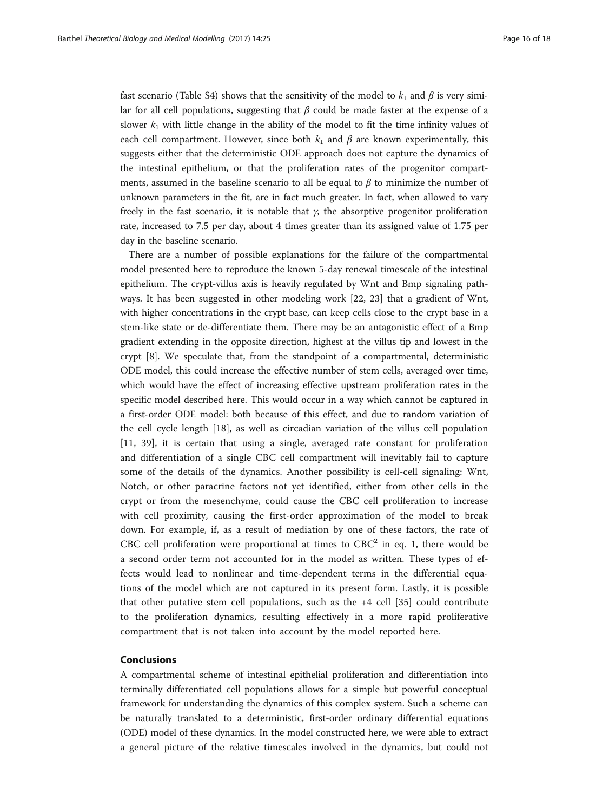fast scenario (Table S4) shows that the sensitivity of the model to  $k_1$  and  $\beta$  is very similar for all cell populations, suggesting that  $\beta$  could be made faster at the expense of a slower  $k_1$  with little change in the ability of the model to fit the time infinity values of each cell compartment. However, since both  $k_1$  and  $\beta$  are known experimentally, this suggests either that the deterministic ODE approach does not capture the dynamics of the intestinal epithelium, or that the proliferation rates of the progenitor compartments, assumed in the baseline scenario to all be equal to  $\beta$  to minimize the number of unknown parameters in the fit, are in fact much greater. In fact, when allowed to vary freely in the fast scenario, it is notable that  $y$ , the absorptive progenitor proliferation rate, increased to 7.5 per day, about 4 times greater than its assigned value of 1.75 per day in the baseline scenario.

There are a number of possible explanations for the failure of the compartmental model presented here to reproduce the known 5-day renewal timescale of the intestinal epithelium. The crypt-villus axis is heavily regulated by Wnt and Bmp signaling pathways. It has been suggested in other modeling work [[22, 23\]](#page-17-0) that a gradient of Wnt, with higher concentrations in the crypt base, can keep cells close to the crypt base in a stem-like state or de-differentiate them. There may be an antagonistic effect of a Bmp gradient extending in the opposite direction, highest at the villus tip and lowest in the crypt [\[8\]](#page-17-0). We speculate that, from the standpoint of a compartmental, deterministic ODE model, this could increase the effective number of stem cells, averaged over time, which would have the effect of increasing effective upstream proliferation rates in the specific model described here. This would occur in a way which cannot be captured in a first-order ODE model: both because of this effect, and due to random variation of the cell cycle length [\[18](#page-17-0)], as well as circadian variation of the villus cell population [[11, 39](#page-17-0)], it is certain that using a single, averaged rate constant for proliferation and differentiation of a single CBC cell compartment will inevitably fail to capture some of the details of the dynamics. Another possibility is cell-cell signaling: Wnt, Notch, or other paracrine factors not yet identified, either from other cells in the crypt or from the mesenchyme, could cause the CBC cell proliferation to increase with cell proximity, causing the first-order approximation of the model to break down. For example, if, as a result of mediation by one of these factors, the rate of CBC cell proliferation were proportional at times to  $CBC^2$  in eq. [1,](#page-2-0) there would be a second order term not accounted for in the model as written. These types of effects would lead to nonlinear and time-dependent terms in the differential equations of the model which are not captured in its present form. Lastly, it is possible that other putative stem cell populations, such as the +4 cell [[35\]](#page-17-0) could contribute to the proliferation dynamics, resulting effectively in a more rapid proliferative compartment that is not taken into account by the model reported here.

# Conclusions

A compartmental scheme of intestinal epithelial proliferation and differentiation into terminally differentiated cell populations allows for a simple but powerful conceptual framework for understanding the dynamics of this complex system. Such a scheme can be naturally translated to a deterministic, first-order ordinary differential equations (ODE) model of these dynamics. In the model constructed here, we were able to extract a general picture of the relative timescales involved in the dynamics, but could not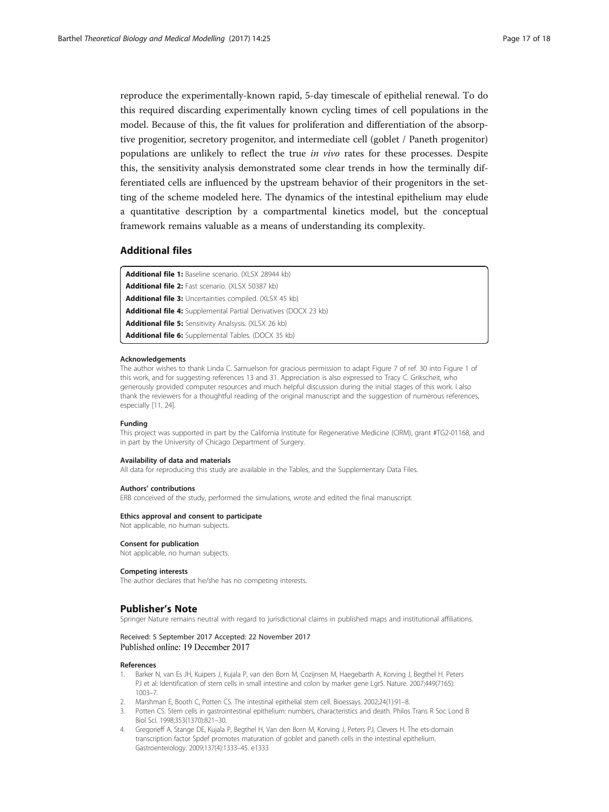<span id="page-16-0"></span>reproduce the experimentally-known rapid, 5-day timescale of epithelial renewal. To do this required discarding experimentally known cycling times of cell populations in the model. Because of this, the fit values for proliferation and differentiation of the absorptive progenitior, secretory progenitor, and intermediate cell (goblet / Paneth progenitor) populations are unlikely to reflect the true in vivo rates for these processes. Despite this, the sensitivity analysis demonstrated some clear trends in how the terminally differentiated cells are influenced by the upstream behavior of their progenitors in the setting of the scheme modeled here. The dynamics of the intestinal epithelium may elude a quantitative description by a compartmental kinetics model, but the conceptual framework remains valuable as a means of understanding its complexity.

# Additional files

[Additional file 1:](dx.doi.org/10.1186/s12976-017-0071-8) Baseline scenario. (XLSX 28944 kb) [Additional file 2:](dx.doi.org/10.1186/s12976-017-0071-8) Fast scenario. (XLSX 50387 kb) [Additional file 3:](dx.doi.org/10.1186/s12976-017-0071-8) Uncertainties compiled. (XLSX 45 kb) [Additional file 4:](dx.doi.org/10.1186/s12976-017-0071-8) Supplemental Partial Derivatives (DOCX 23 kb) [Additional file 5:](dx.doi.org/10.1186/s12976-017-0071-8) Sensitivity Analsysis. (XLSX 26 kb) [Additional file 6:](dx.doi.org/10.1186/s12976-017-0071-8) Supplemental Tables. (DOCX 35 kb)

#### Acknowledgements

The author wishes to thank Linda C. Samuelson for gracious permission to adapt Figure 7 of ref. 30 into Figure [1](#page-3-0) of this work, and for suggesting references 13 and 31. Appreciation is also expressed to Tracy C. Grikscheit, who generously provided computer resources and much helpful discussion during the initial stages of this work. I also thank the reviewers for a thoughtful reading of the original manuscript and the suggestion of numerous references, especially [\[11, 24](#page-17-0)].

#### Funding

This project was supported in part by the California Institute for Regenerative Medicine (CIRM), grant #TG2-01168, and in part by the University of Chicago Department of Surgery.

#### Availability of data and materials

All data for reproducing this study are available in the Tables, and the Supplementary Data Files.

#### Authors' contributions

ERB conceived of the study, performed the simulations, wrote and edited the final manuscript.

#### Ethics approval and consent to participate

Not applicable, no human subjects.

#### Consent for publication

Not applicable, no human subjects.

#### Competing interests

The author declares that he/she has no competing interests.

#### Publisher's Note

Springer Nature remains neutral with regard to jurisdictional claims in published maps and institutional affiliations.

# Received: 5 September 2017 Accepted: 22 November 2017 Published online: 19 December 2017

#### References

- 1. Barker N, van Es JH, Kuipers J, Kujala P, van den Born M, Cozijnsen M, Haegebarth A, Korving J, Begthel H. Peters PJ et al: Identification of stem cells in small intestine and colon by marker gene Lgr5. Nature. 2007;449(7165): 1003–7.
- 2. Marshman E, Booth C, Potten CS. The intestinal epithelial stem cell. Bioessays. 2002;24(1):91–8.
- 3. Potten CS. Stem cells in gastrointestinal epithelium: numbers, characteristics and death. Philos Trans R Soc Lond B Biol Sci. 1998;353(1370):821–30.
- 4. Gregorieff A, Stange DE, Kujala P, Begthel H, Van den Born M, Korving J, Peters PJ, Clevers H. The ets-domain transcription factor Spdef promotes maturation of goblet and paneth cells in the intestinal epithelium. Gastroenterology. 2009;137(4):1333–45. e1333